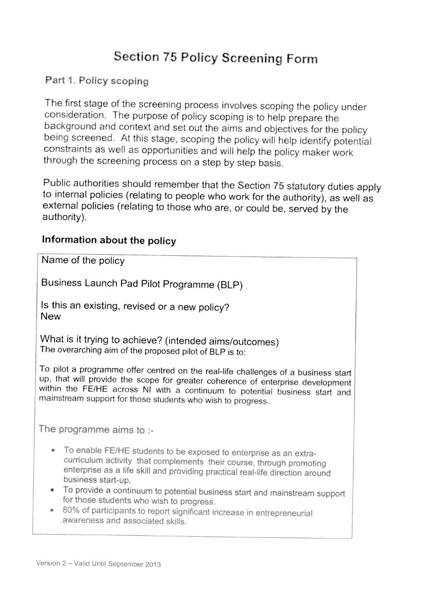# Section <sup>75</sup> Policy Screening Form

#### Part 1. Policy scoping

The first stage of the screening process involves scoping the policy under consideration, The purpose of policy scoping is to help prepare the background and context and set out the aims and objectives for the policy being screened. At this stage, scoping the policy will help identify potential constraints as well as opportunities and wilt help the policy maker work through the screening process on <sup>a</sup> step by step basis.

Public authorities should remember that the Section <sup>75</sup> statutory duties apply to internal policies (relating to people who work for the authority), as well as external policies (relating to those who are, or could be, served by the authority).

#### Information about the policy

Name of the policy

Business Launch Pad Pilot Programme (BLP)

Is this an existing, revised or <sup>a</sup> new policy? **New** 

What is it trying to achieve? (intended aims/outcomes) The overarching aim of the proposed <sup>p</sup>ilot of BLP is to:

To pilot a programme offer centred on the real-life challenges of a business start up, that will provide the scope for greater coherence of enterprise development within the FE/HE across NI with <sup>a</sup> continuum to potential business start and mainstream support for those students who wish to progress.

The programme aims to :-

- To enable FE/HE students to be exposed to enterprise as an extracurriculum activity that complements their course, through promoting enterprise as a life skill and providing practical real-life direction around business start-up.
- To provide a continuum to potential business start and mainstream support for those students who wish to progress.
- $\hspace{0.1cm}$   $\hspace{0.1cm}$  80% of participants to report significant increase in entrepreneurial awareness and associated skills.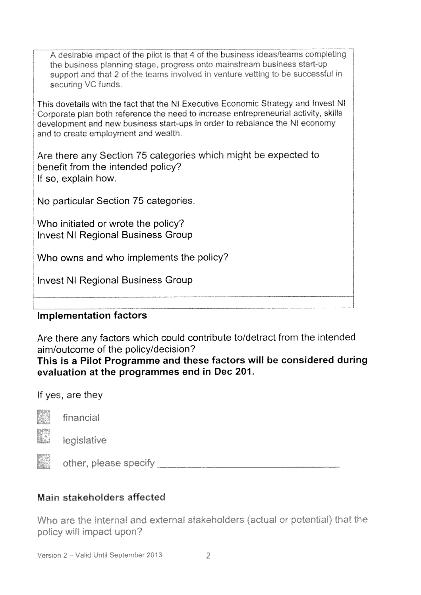A desirable impact of the pilot is that 4 of the business ideas/teams completing the business planning stage, progress onto mainstream business start-up support and that 2 of the teams involved in venture vetting to be successful in securing VC funds.

This dovetails with the fact that the NI Executive Economic Strategy and Invest NI Corporate plan both reference the need to increase entrepreneurial activity, skills development and new business start-ups in order to rebalance the NI economy and to create employment and wealth.

Are there any Section 75 categories which might be expected to benefit from the intended policy? If so, explain how.

No particular Section 75 categories.

Who initiated or wrote the policy? **Invest NI Regional Business Group** 

Who owns and who implements the policy?

**Invest NI Regional Business Group** 

#### **Implementation factors**

Are there any factors which could contribute to/detract from the intended aim/outcome of the policy/decision?

#### This is a Pilot Programme and these factors will be considered during evaluation at the programmes end in Dec 201.

If yes, are they



financial

legislative

other, please specify and the control of the control of the control of the control of the control of the control of the control of the control of the control of the control of the control of the control of the control of t

#### Main stakeholders affected

Who are the internal and external stakeholders (actual or potential) that the policy will impact upon?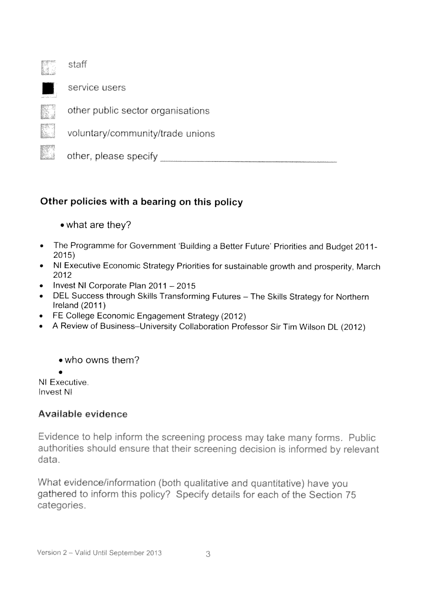

staff



service users



other public sector organisations

voluntary/community/trade unions

other, please specify

### Other policies with <sup>a</sup> bearing on this policy

- what are they?
- The Programme for Government 'Building a Better Future' Priorities and Budget 2011-2015)
- NI Executive Economic Strategy Priorities for sustainable growth and prosperity, March 2012
- Invest NI Corporate Plan 2011 —2015
- DEL Success through Skills Transforming Futures The Skills Strategy for Northern Ireland (2011)
- FE College Economic Engagement Strategy (2012)
- A Review of Business—University Collaboration Professor Sir Tim Wilson DL (2012)

• who owns them?

NI Executive. Invest Ni

### Available evidence

Evidence to help inform the screening process may take many forms. Public authorities should ensure that their screening. decision is informed by relevant data.

What evidence/information (both qualitative and quantitative) have you gathered to inform this policy? Specify details for each of the Section 75 categories.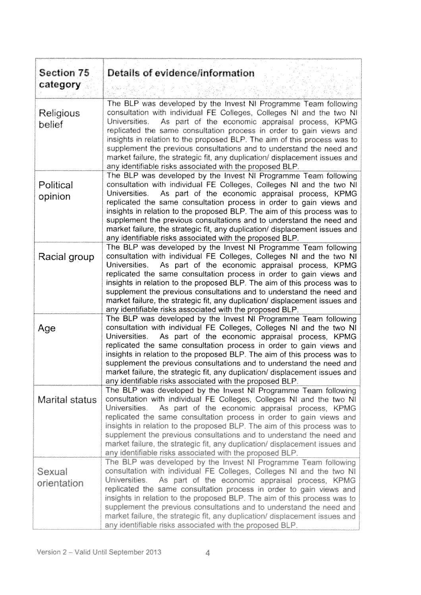| Section 75                 | Details of evidence/information                                                                                                                                                                                                                                                                                                                                                                                                                                                                                                                                                   |
|----------------------------|-----------------------------------------------------------------------------------------------------------------------------------------------------------------------------------------------------------------------------------------------------------------------------------------------------------------------------------------------------------------------------------------------------------------------------------------------------------------------------------------------------------------------------------------------------------------------------------|
| category                   |                                                                                                                                                                                                                                                                                                                                                                                                                                                                                                                                                                                   |
| <b>Religious</b><br>belief | The BLP was developed by the Invest NI Programme Team following<br>consultation with individual FE Colleges, Colleges NI and the two NI<br>As part of the economic appraisal process, KPMG<br>Universities.<br>replicated the same consultation process in order to gain views and<br>insights in relation to the proposed BLP. The aim of this process was to<br>supplement the previous consultations and to understand the need and<br>market failure, the strategic fit, any duplication/ displacement issues and<br>any identifiable risks associated with the proposed BLP. |
| Political<br>opinion       | The BLP was developed by the Invest NI Programme Team following<br>consultation with individual FE Colleges, Colleges NI and the two NI<br>As part of the economic appraisal process, KPMG<br>Universities.<br>replicated the same consultation process in order to gain views and<br>insights in relation to the proposed BLP. The aim of this process was to<br>supplement the previous consultations and to understand the need and<br>market failure, the strategic fit, any duplication/ displacement issues and<br>any identifiable risks associated with the proposed BLP. |
| Racial group               | The BLP was developed by the Invest NI Programme Team following<br>consultation with individual FE Colleges, Colleges NI and the two NI<br>Universities.<br>As part of the economic appraisal process, KPMG<br>replicated the same consultation process in order to gain views and<br>insights in relation to the proposed BLP. The aim of this process was to<br>supplement the previous consultations and to understand the need and<br>market failure, the strategic fit, any duplication/ displacement issues and<br>any identifiable risks associated with the proposed BLP. |
| Age                        | The BLP was developed by the Invest NI Programme Team following<br>consultation with individual FE Colleges, Colleges NI and the two NI<br>Universities.<br>As part of the economic appraisal process, KPMG<br>replicated the same consultation process in order to gain views and<br>insights in relation to the proposed BLP. The aim of this process was to<br>supplement the previous consultations and to understand the need and<br>market failure, the strategic fit, any duplication/ displacement issues and<br>any identifiable risks associated with the proposed BLP. |
| Marital status             | The BLP was developed by the Invest NI Programme Team following<br>consultation with individual FE Colleges, Colleges NI and the two NI<br>Universities.<br>As part of the economic appraisal process, KPMG<br>replicated the same consultation process in order to gain views and<br>insights in relation to the proposed BLP. The aim of this process was to<br>supplement the previous consultations and to understand the need and<br>market failure, the strategic fit, any duplication/ displacement issues and<br>any identifiable risks associated with the proposed BLP. |
| Sexual<br>orientation      | The BLP was developed by the Invest NI Programme Team following<br>consultation with individual FE Colleges, Colleges NI and the two NI<br>Universities.<br>As part of the economic appraisal process, KPMG<br>replicated the same consultation process in order to gain views and<br>insights in relation to the proposed BLP. The aim of this process was to<br>supplement the previous consultations and to understand the need and<br>market failure, the strategic fit, any duplication/ displacement issues and<br>any identifiable risks associated with the proposed BLP. |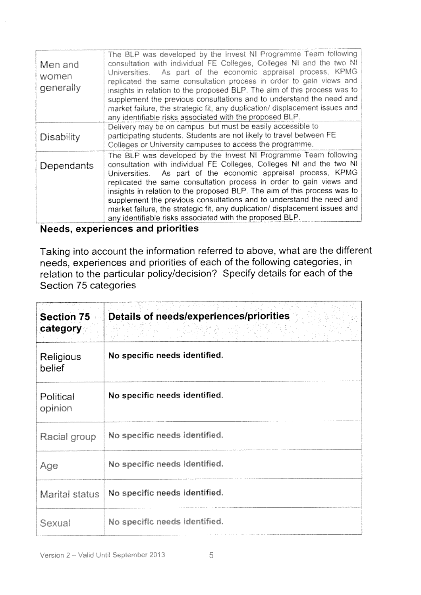| Men and<br>women<br>generally | The BLP was developed by the Invest NI Programme Team following<br>consultation with individual FE Colleges, Colleges NI and the two NI<br>As part of the economic appraisal process, KPMG<br>Universities.<br>replicated the same consultation process in order to gain views and<br>insights in relation to the proposed BLP. The aim of this process was to<br>supplement the previous consultations and to understand the need and<br>market failure, the strategic fit, any duplication/ displacement issues and<br>any identifiable risks associated with the proposed BLP. |
|-------------------------------|-----------------------------------------------------------------------------------------------------------------------------------------------------------------------------------------------------------------------------------------------------------------------------------------------------------------------------------------------------------------------------------------------------------------------------------------------------------------------------------------------------------------------------------------------------------------------------------|
| Disability                    | Delivery may be on campus but must be easily accessible to<br>participating students. Students are not likely to travel between FE<br>Colleges or University campuses to access the programme.                                                                                                                                                                                                                                                                                                                                                                                    |
| Dependants                    | The BLP was developed by the Invest NI Programme Team following<br>consultation with individual FE Colleges, Colleges NI and the two NI<br>Universities. As part of the economic appraisal process, KPMG<br>replicated the same consultation process in order to gain views and<br>insights in relation to the proposed BLP. The aim of this process was to<br>supplement the previous consultations and to understand the need and<br>market failure, the strategic fit, any duplication/ displacement issues and<br>any identifiable risks associated with the proposed BLP.    |

## **Needs, experiences and priorities**

Taking into account the information referred to above, what are the different needs, experiences and priorities of each of the following categories, in relation to the particular policy/decision? Specify details for each of the Section 75 categories

| <b>Section 75</b><br>category | Details of needs/experiences/priorities |
|-------------------------------|-----------------------------------------|
| Religious<br>belief           | No specific needs identified.           |
| Political<br>opinion          | No specific needs identified.           |
| Racial group                  | No specific needs identified.           |
| Age                           | No specific needs identified.           |
| Marital status                | No specific needs identified.           |
| Sexual                        | No specific needs identified.           |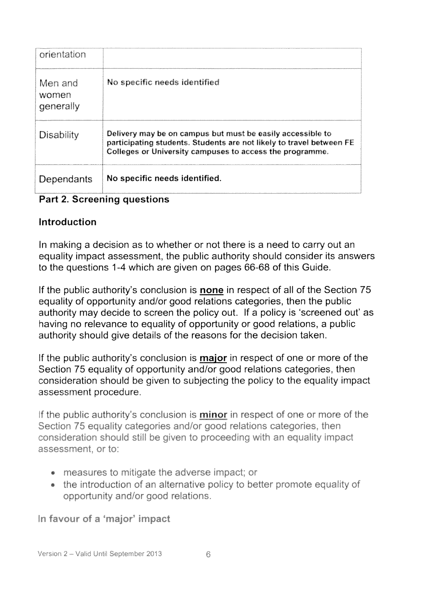| orientation                   |                                                                                                                                                                                                |
|-------------------------------|------------------------------------------------------------------------------------------------------------------------------------------------------------------------------------------------|
| Men and<br>women<br>qenerally | No specific needs identified                                                                                                                                                                   |
| Disability                    | Delivery may be on campus but must be easily accessible to<br>participating students. Students are not likely to travel between FE<br>Colleges or University campuses to access the programme. |
| Dependants                    | No specific needs identified.                                                                                                                                                                  |

#### Part 2. Screening questions

#### Introduction

In making a decision as to whether or not there is a need to carry out an equality impact assessment, the public authority should consider its answers to the questions 1-4 which are given on pages 66-68 of this Guide.

If the public authority's conclusion is **none** in respect of all of the Section 75 equality of opportunity and/or good relations categories, then the public authority may decide to screen the policy out. If a policy is 'screened out' as having no relevance to equality of opportunity or good relations, a public authority should give details of the reasons for the decision taken.

If the public authority's conclusion is **major** in respect of one or more of the Section 75 equality of opportunity and/or good relations categories, then consideration should be given to subjecting the policy to the equality impact assessment procedure.

If the public authority's conclusion is **minor** in respect of one or more of the Section 75 equality categories and/or good relations categories, then consideration should still be given to proceeding with an equality impact assessment, or to:

- measures to mitigate the adverse impact; or
- the introduction of an alternative policy to better promote equality of opportunity and/or good relations.

In favour of a 'major' impact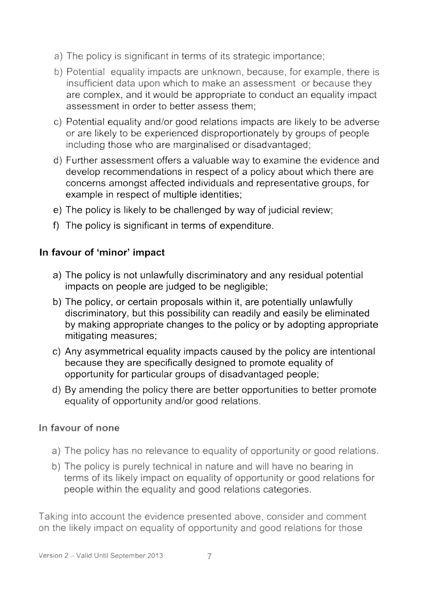- a) The policy is significant in terms of its strategic importance;
- b) Potential equality impacts are unknown, because, for example, there is in sufficient data upon which to make an assessment or because they are complex. and it would be appropriate to conduct an equality impact assessment in order to better assess them;
- c) Potential equality and/or good relations impacts are likely to be adverse or are likely to be experienced disproportionately by groups of people including those who are marginalised or disadvantaged;
- d) Further assessment offers a valuable way to examine the evidence and develop recommendations in respect of a policy about which there are concerns amongst affected individuals and representative groups, for example in respect of multiple identities;
- e) The policy is likely to be challenged by way of judicial review;
- f) The policy is significant in terms of expenditure.

#### In favour of 'minor' impact

- a) The policy is not unlawfully discriminatory and any residual potential impacts on people are judged to be negligible;
- b) The policy, or certain proposals within it, are potentially unlawfully discriminatory, but this possibility can readily and easily be eliminated by making appropriate changes to the policy or by adopting appropriate mitigating measures;
- c) Any asymmetrical equality impacts caused by the policy are intentional because they are specifically designed to promote equality of opportunity for particular groups of disadvantaged people;
- d) By amending the policy there are better opportunities to better promote equality of opportunity and/or good relations

#### In favour of none

- a) The policy has no relevance to equality of opportunity or good relations.
- b) The policy is purely technical in nature and will have no bearing in<br>terms of its likely impact on equality of opportunity or good relations for people within the equality and good relations categories.

Taking into account the evidence presented above, consider and comment on the likely impact on equality of opportunity and good relations for those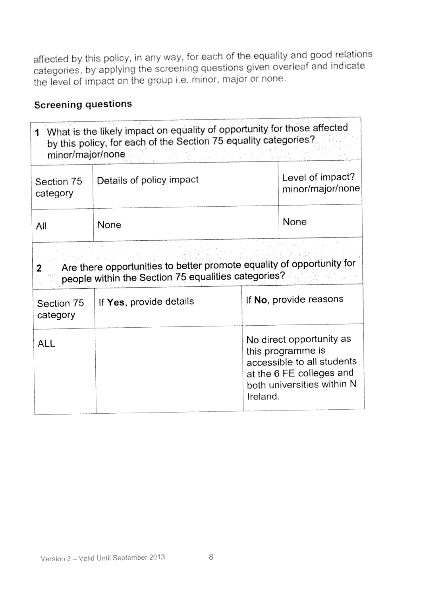affected by this policy, in any way, for each of the equality and good relations categories, by applying the screening questions given overleaf and indicate the level of impact on the group i.e. minor, major or none.

## **Screening questions**

| 1<br>minor/major/none  | What is the likely impact on equality of opportunity for those affected<br>by this policy, for each of the Section 75 equality categories? |          |                                                                                                                                       |
|------------------------|--------------------------------------------------------------------------------------------------------------------------------------------|----------|---------------------------------------------------------------------------------------------------------------------------------------|
| Section 75<br>category | Details of policy impact                                                                                                                   |          | Level of impact?<br>minor/major/none                                                                                                  |
| All                    | None                                                                                                                                       |          | None                                                                                                                                  |
| 2                      | Are there opportunities to better promote equality of opportunity for<br>people within the Section 75 equalities categories?               |          | If No, provide reasons                                                                                                                |
| Section 75<br>category | If Yes, provide details                                                                                                                    |          |                                                                                                                                       |
| <b>ALL</b>             |                                                                                                                                            | Ireland. | No direct opportunity as<br>this programme is<br>accessible to all students<br>at the 6 FE colleges and<br>both universities within N |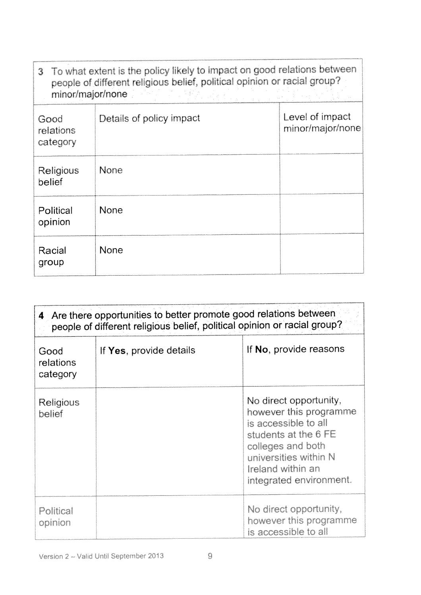|                               | 3 To what extent is the policy likely to impact on good relations between<br>people of different religious belief, political opinion or racial group? |                                     |
|-------------------------------|-------------------------------------------------------------------------------------------------------------------------------------------------------|-------------------------------------|
| minor/major/none              | a Martin Martin Alexandro and Martin                                                                                                                  |                                     |
| Good<br>relations<br>category | Details of policy impact                                                                                                                              | Level of impact<br>minor/major/none |
| <b>Religious</b><br>belief    | <b>None</b>                                                                                                                                           |                                     |
| Political<br>opinion          | <b>None</b>                                                                                                                                           |                                     |
| Racial<br>group               | <b>None</b>                                                                                                                                           |                                     |

|                               | 4 Are there opportunities to better promote good relations between<br>people of different religious belief, political opinion or racial group? |                                                                                                                                                                                                |
|-------------------------------|------------------------------------------------------------------------------------------------------------------------------------------------|------------------------------------------------------------------------------------------------------------------------------------------------------------------------------------------------|
| Good<br>relations<br>category | If Yes, provide details                                                                                                                        | If No, provide reasons                                                                                                                                                                         |
| Religious<br>belief           |                                                                                                                                                | No direct opportunity,<br>however this programme<br>is accessible to all<br>students at the 6 FE<br>colleges and both<br>universities within N<br>Ireland within an<br>integrated environment. |
| Political<br>opinion          |                                                                                                                                                | No direct opportunity,<br>however this programme<br>is accessible to all                                                                                                                       |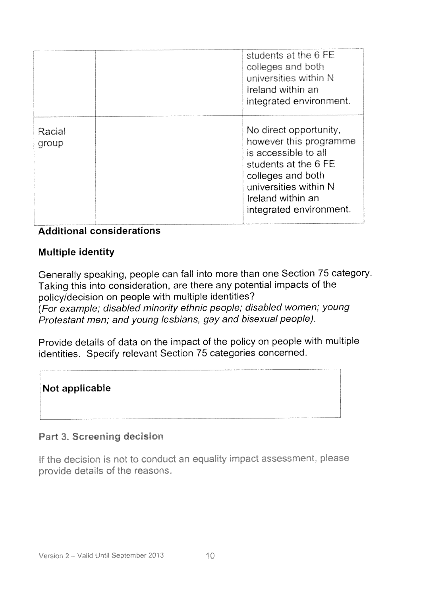|                 | students at the 6 FE<br>colleges and both<br>universities within N<br>Ireland within an<br>integrated environment.                                                                             |
|-----------------|------------------------------------------------------------------------------------------------------------------------------------------------------------------------------------------------|
| Racial<br>group | No direct opportunity,<br>however this programme<br>is accessible to all<br>students at the 6 FE<br>colleges and both<br>universities within N<br>Ireland within an<br>integrated environment. |

#### **Additional considerations**

#### **Multiple identity**

Generally speaking, people can fall into more than one Section 75 category. Taking this into consideration, are there any potential impacts of the policy/decision on people with multiple identities? (For example, disabled minority ethnic people; disabled women; young Protestant men; and young lesbians, gay and bisexual people).

Provide details of data on the impact of the policy on people with multiple identities. Specify relevant Section 75 categories concerned.

#### Not applicable

#### Part 3. Screening decision

If the decision is not to conduct an equality impact assessment, please provide details of the reasons.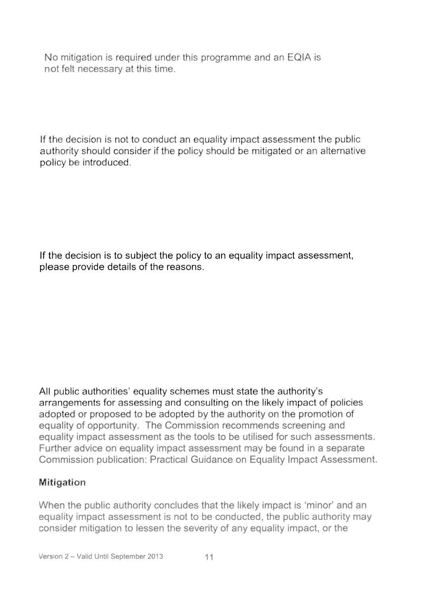No mitigation is required under this programme and an EQIA is not felt necessary at this time.

If the decision is not to conduct an equality impact assessment the public authority should consider if the policy should be mitigated or an alternative policy be introduced.

If the decision is to subject the policy to an equality impact assessment, please provide details of the reasons.

All public authorities' equality schemes must state the authority's arrangements for assessing and consulting on the likely impact of policies adopted or proposed to be adopted by the authority on the promotion of equality of opportunity. The Commission recommends screening and equality impact assessment as the tools to be utilised for such assessments. Further advice on equality impact assessment may be found in a separate Commission publication: Practical Guidance on Equality Impact Assessment.

#### Mitigation

When the public authority concludes that the likely impact is 'minor' and an equality impact assessment is not to be conducted, the public authority may consider mitigation to lessen the severity of any equality impact, or the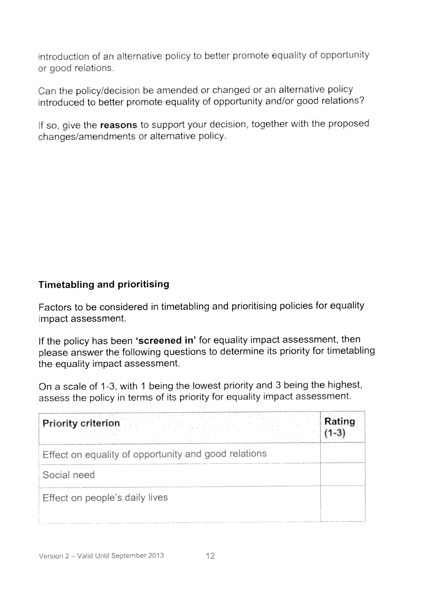introduction of an alternative policy to better promote equality of opportunity or good relations.

Can the policy/decision be amended or changed or an alternative policy introduced to better promote equality of opportunity and/or good relations?

If so, give the reasons to support your decision, together with the proposed changes/amendments or alternative policy.

#### Timetabling and prioritising

Factors to be considered in timetabling and prioritising policies for equality impact assessment.

If the policy has been 'screened in' for equality impact assessment, then <sup>p</sup>lease answer the following questions to determine its priority for timetabling the equality impact assessment

On a scale of 1-3, with 1 being the lowest priority and 3 being the highest, assess the policy in terms of its priority for equality impact assessment.

| <b>Priority criterion</b>                            |  |
|------------------------------------------------------|--|
| Effect on equality of opportunity and good relations |  |
| Social need                                          |  |
| Effect on people's daily lives                       |  |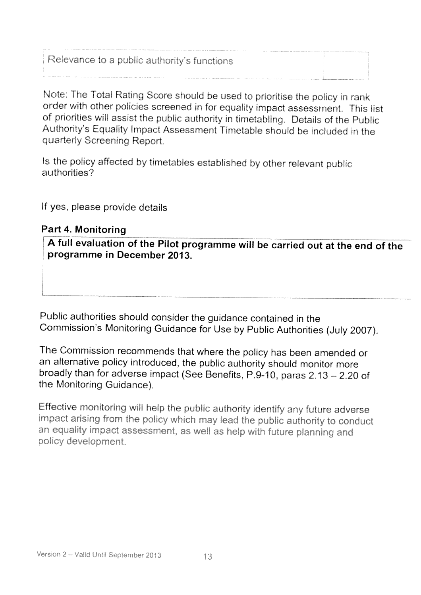Relevance to a public authority's functions

Note: The Total Rating Score should be used to prioritise the policy in rank order with other policies screened in for equality impact assessment. This list of priorities will assist the public authority in timetabling. Details of the Public Authority's Equality Impact Assessment Timetable should be included in the quarterly Screening Report.

Is the policy affected by timetables established by other relevant public authorities?

If yes, please provide details

#### Part 4. Monitoring

A full evaluation of the Pilot programme will be carried out at the end of the programme in December 2013.

Public authorities should consider the guidance contained in the Commission's Monitoring Guidance for Use by Public Authorities (July 2007).

The Commission recommends that where the policy has been amended or an alternative policy introduced, the public authority should monitor more broadly than for adverse impact (See Benefits, P.9-10, paras 2.13 - 2.20 of the Monitoring Guidance).

Effective monitoring will help the public authority identify any future adverse impact arising from the policy which may lead the public authority to conduct an equality impact assessment, as well as help with future planning and policy development.